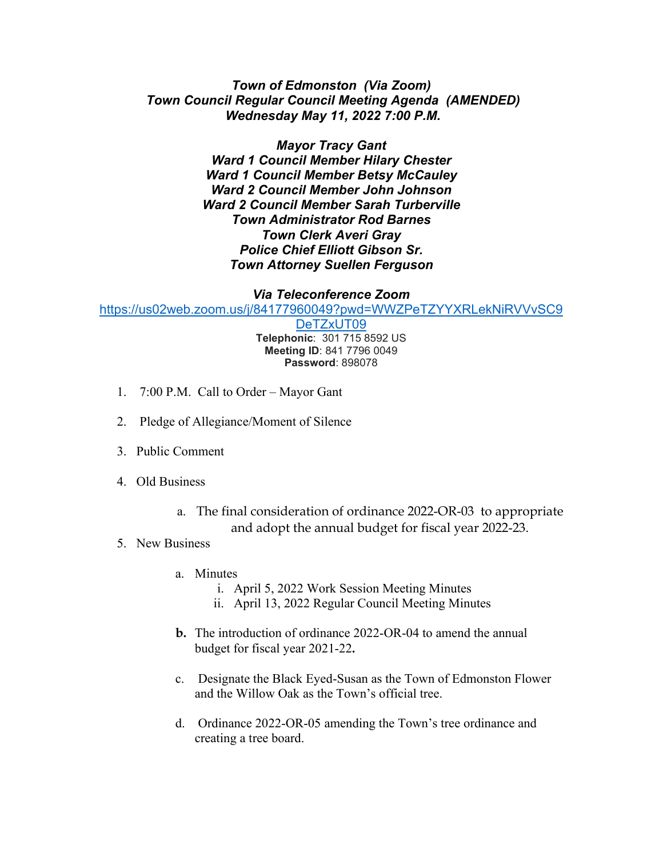## *Town of Edmonston (Via Zoom) Town Council Regular Council Meeting Agenda (AMENDED) Wednesday May 11, 2022 7:00 P.M.*

*Mayor Tracy Gant Ward 1 Council Member Hilary Chester Ward 1 Council Member Betsy McCauley Ward 2 Council Member John Johnson Ward 2 Council Member Sarah Turberville Town Administrator Rod Barnes Town Clerk Averi Gray Police Chief Elliott Gibson Sr. Town Attorney Suellen Ferguson*

## *Via Teleconference Zoom*

[https://us02web.zoom.us/j/84177960049?pwd=WWZPeTZYYXRLekNiRVVvSC9](https://us02web.zoom.us/j/84177960049?pwd=WWZPeTZYYXRLekNiRVVvSC9DeTZxUT09)

[DeTZxUT09](https://us02web.zoom.us/j/84177960049?pwd=WWZPeTZYYXRLekNiRVVvSC9DeTZxUT09) **Telephonic**: 301 715 8592 US **Meeting ID**: 841 7796 0049 **Password**: 898078

- 1. 7:00 P.M. Call to Order Mayor Gant
- 2. Pledge of Allegiance/Moment of Silence
- 3. Public Comment
- 4. Old Business
	- a. The final consideration of ordinance 2022-OR-03 to appropriate and adopt the annual budget for fiscal year 2022-23.

## 5. New Business

- a. Minutes
	- i. April 5, 2022 Work Session Meeting Minutes
	- ii. April 13, 2022 Regular Council Meeting Minutes
- **b.** The introduction of ordinance 2022-OR-04 to amend the annual budget for fiscal year 2021-22**.**
- c. Designate the Black Eyed-Susan as the Town of Edmonston Flower and the Willow Oak as the Town's official tree.
- d. Ordinance 2022-OR-05 amending the Town's tree ordinance and creating a tree board.